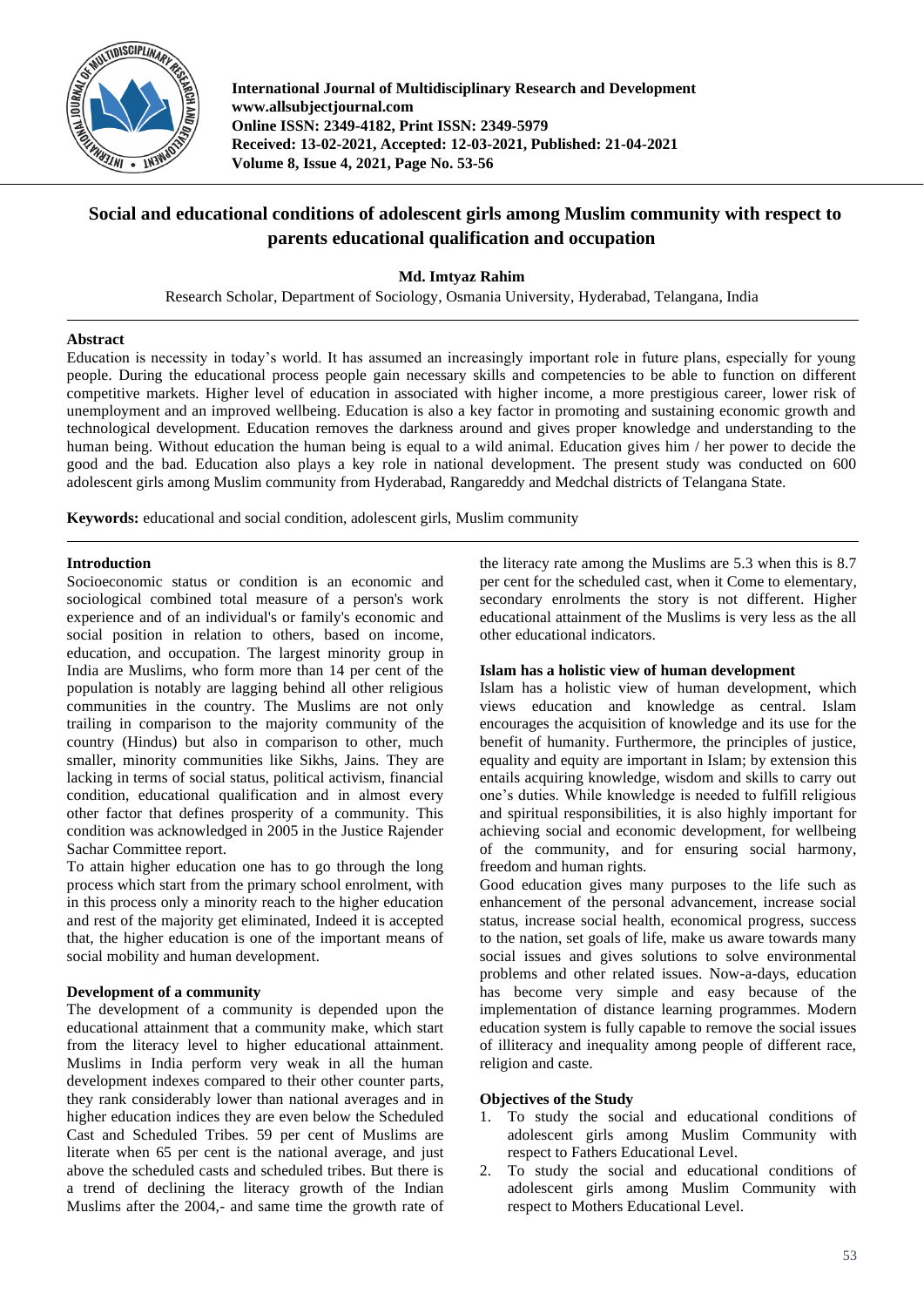

**International Journal of Multidisciplinary Research and Development www.allsubjectjournal.com Online ISSN: 2349-4182, Print ISSN: 2349-5979 Received: 13-02-2021, Accepted: 12-03-2021, Published: 21-04-2021 Volume 8, Issue 4, 2021, Page No. 53-56**

# **Social and educational conditions of adolescent girls among Muslim community with respect to parents educational qualification and occupation**

**Md. Imtyaz Rahim**

Research Scholar, Department of Sociology, Osmania University, Hyderabad, Telangana, India

### **Abstract**

Education is necessity in today's world. It has assumed an increasingly important role in future plans, especially for young people. During the educational process people gain necessary skills and competencies to be able to function on different competitive markets. Higher level of education in associated with higher income, a more prestigious career, lower risk of unemployment and an improved wellbeing. Education is also a key factor in promoting and sustaining economic growth and technological development. Education removes the darkness around and gives proper knowledge and understanding to the human being. Without education the human being is equal to a wild animal. Education gives him / her power to decide the good and the bad. Education also plays a key role in national development. The present study was conducted on 600 adolescent girls among Muslim community from Hyderabad, Rangareddy and Medchal districts of Telangana State.

**Keywords:** educational and social condition, adolescent girls, Muslim community

### **Introduction**

Socioeconomic status or condition is an economic and sociological combined total measure of a person's work experience and of an individual's or family's economic and social position in relation to others, based on income, education, and occupation. The largest minority group in India are Muslims, who form more than 14 per cent of the population is notably are lagging behind all other religious communities in the country. The Muslims are not only trailing in comparison to the majority community of the country (Hindus) but also in comparison to other, much smaller, minority communities like Sikhs, Jains. They are lacking in terms of social status, political activism, financial condition, educational qualification and in almost every other factor that defines prosperity of a community. This condition was acknowledged in 2005 in the Justice Rajender Sachar Committee report.

To attain higher education one has to go through the long process which start from the primary school enrolment, with in this process only a minority reach to the higher education and rest of the majority get eliminated, Indeed it is accepted that, the higher education is one of the important means of social mobility and human development.

### **Development of a community**

The development of a community is depended upon the educational attainment that a community make, which start from the literacy level to higher educational attainment. Muslims in India perform very weak in all the human development indexes compared to their other counter parts, they rank considerably lower than national averages and in higher education indices they are even below the Scheduled Cast and Scheduled Tribes. 59 per cent of Muslims are literate when 65 per cent is the national average, and just above the scheduled casts and scheduled tribes. But there is a trend of declining the literacy growth of the Indian Muslims after the 2004,- and same time the growth rate of

the literacy rate among the Muslims are 5.3 when this is 8.7 per cent for the scheduled cast, when it Come to elementary, secondary enrolments the story is not different. Higher educational attainment of the Muslims is very less as the all other educational indicators.

### **Islam has a holistic view of human development**

Islam has a holistic view of human development, which views education and knowledge as central. Islam encourages the acquisition of knowledge and its use for the benefit of humanity. Furthermore, the principles of justice, equality and equity are important in Islam; by extension this entails acquiring knowledge, wisdom and skills to carry out one's duties. While knowledge is needed to fulfill religious and spiritual responsibilities, it is also highly important for achieving social and economic development, for wellbeing of the community, and for ensuring social harmony, freedom and human rights.

Good education gives many purposes to the life such as enhancement of the personal advancement, increase social status, increase social health, economical progress, success to the nation, set goals of life, make us aware towards many social issues and gives solutions to solve environmental problems and other related issues. Now-a-days, education has become very simple and easy because of the implementation of distance learning programmes. Modern education system is fully capable to remove the social issues of illiteracy and inequality among people of different race, religion and caste.

## **Objectives of the Study**

- 1. To study the social and educational conditions of adolescent girls among Muslim Community with respect to Fathers Educational Level.
- 2. To study the social and educational conditions of adolescent girls among Muslim Community with respect to Mothers Educational Level.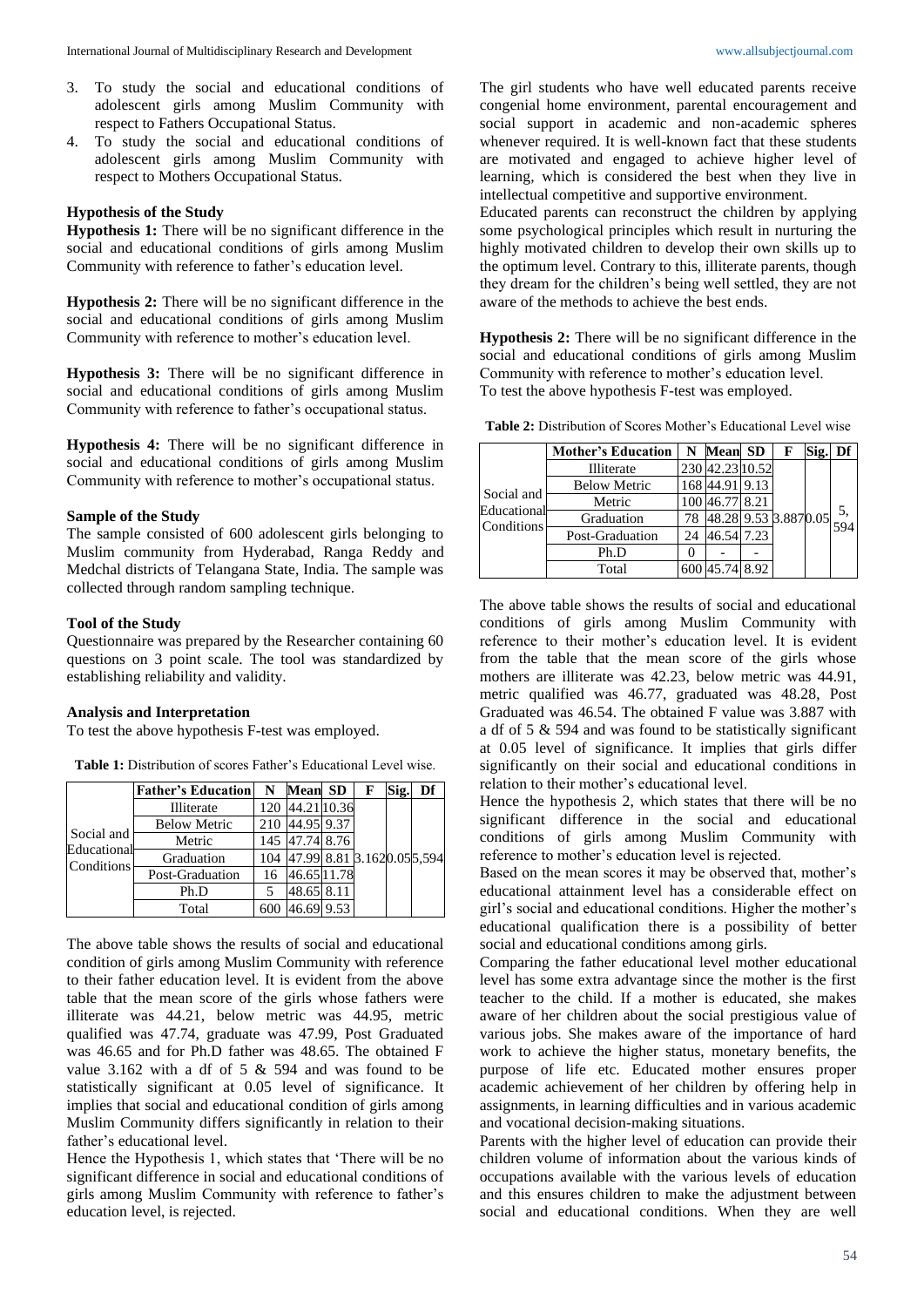- 3. To study the social and educational conditions of adolescent girls among Muslim Community with respect to Fathers Occupational Status.
- 4. To study the social and educational conditions of adolescent girls among Muslim Community with respect to Mothers Occupational Status.

#### **Hypothesis of the Study**

**Hypothesis 1:** There will be no significant difference in the social and educational conditions of girls among Muslim Community with reference to father's education level.

**Hypothesis 2:** There will be no significant difference in the social and educational conditions of girls among Muslim Community with reference to mother's education level.

**Hypothesis 3:** There will be no significant difference in social and educational conditions of girls among Muslim Community with reference to father's occupational status.

**Hypothesis 4:** There will be no significant difference in social and educational conditions of girls among Muslim Community with reference to mother's occupational status.

### **Sample of the Study**

The sample consisted of 600 adolescent girls belonging to Muslim community from Hyderabad, Ranga Reddy and Medchal districts of Telangana State, India. The sample was collected through random sampling technique.

#### **Tool of the Study**

Questionnaire was prepared by the Researcher containing 60 questions on 3 point scale. The tool was standardized by establishing reliability and validity.

#### **Analysis and Interpretation**

To test the above hypothesis F-test was employed.

**Table 1:** Distribution of scores Father's Educational Level wise.

|                                         | <b>Father's Education</b> | N   | <b>Mean SD</b>                 |  | F | Sig. | Df |
|-----------------------------------------|---------------------------|-----|--------------------------------|--|---|------|----|
| Social and<br>Educational<br>Conditions | Illiterate                | 120 | 44.21 10.36                    |  |   |      |    |
|                                         | <b>Below Metric</b>       | 210 | 44.95 9.37                     |  |   |      |    |
|                                         | Metric                    |     | 145 47.74 8.76                 |  |   |      |    |
|                                         | Graduation                |     | 104 47.99 8.81 3.1620.05 5.594 |  |   |      |    |
|                                         | Post-Graduation           | 16  | 46.65 11.78                    |  |   |      |    |
|                                         | Ph.D                      |     | 48.65 8.11                     |  |   |      |    |
|                                         | Total                     |     | 46.69 9.53                     |  |   |      |    |

The above table shows the results of social and educational condition of girls among Muslim Community with reference to their father education level. It is evident from the above table that the mean score of the girls whose fathers were illiterate was 44.21, below metric was 44.95, metric qualified was 47.74, graduate was 47.99, Post Graduated was 46.65 and for Ph.D father was 48.65. The obtained F value 3.162 with a df of 5 & 594 and was found to be statistically significant at 0.05 level of significance. It implies that social and educational condition of girls among Muslim Community differs significantly in relation to their father's educational level.

Hence the Hypothesis 1, which states that 'There will be no significant difference in social and educational conditions of girls among Muslim Community with reference to father's education level, is rejected.

The girl students who have well educated parents receive congenial home environment, parental encouragement and social support in academic and non-academic spheres whenever required. It is well-known fact that these students are motivated and engaged to achieve higher level of learning, which is considered the best when they live in intellectual competitive and supportive environment.

Educated parents can reconstruct the children by applying some psychological principles which result in nurturing the highly motivated children to develop their own skills up to the optimum level. Contrary to this, illiterate parents, though they dream for the children's being well settled, they are not aware of the methods to achieve the best ends.

**Hypothesis 2:** There will be no significant difference in the social and educational conditions of girls among Muslim Community with reference to mother's education level. To test the above hypothesis F-test was employed.

| <b>Table 2:</b> Distribution of Scores Mother's Educational Level wise |  |  |  |
|------------------------------------------------------------------------|--|--|--|
|------------------------------------------------------------------------|--|--|--|

|                                         | <b>Mother's Education</b> | N  | <b>Mean SD</b>  |  | F                          | Sig. | Df |
|-----------------------------------------|---------------------------|----|-----------------|--|----------------------------|------|----|
| Social and<br>Educational<br>Conditions | Illiterate                |    | 230 42.23 10.52 |  | $48.28$ 9.53 3.887 0.05 5, |      |    |
|                                         | <b>Below Metric</b>       |    | 168 44.91 9.13  |  |                            |      |    |
|                                         | Metric                    |    | 46.77 8.21      |  |                            |      |    |
|                                         | Graduation                | 78 |                 |  |                            |      |    |
|                                         | Post-Graduation           | 24 | 46.54 7.23      |  |                            |      |    |
|                                         | Ph.D                      |    |                 |  |                            |      |    |
|                                         | Total                     |    | 45.74 8.92      |  |                            |      |    |

The above table shows the results of social and educational conditions of girls among Muslim Community with reference to their mother's education level. It is evident from the table that the mean score of the girls whose mothers are illiterate was 42.23, below metric was 44.91, metric qualified was 46.77, graduated was 48.28, Post Graduated was 46.54. The obtained F value was 3.887 with a df of 5 & 594 and was found to be statistically significant at 0.05 level of significance. It implies that girls differ significantly on their social and educational conditions in relation to their mother's educational level.

Hence the hypothesis 2, which states that there will be no significant difference in the social and educational conditions of girls among Muslim Community with reference to mother's education level is rejected.

Based on the mean scores it may be observed that, mother's educational attainment level has a considerable effect on girl's social and educational conditions. Higher the mother's educational qualification there is a possibility of better social and educational conditions among girls.

Comparing the father educational level mother educational level has some extra advantage since the mother is the first teacher to the child. If a mother is educated, she makes aware of her children about the social prestigious value of various jobs. She makes aware of the importance of hard work to achieve the higher status, monetary benefits, the purpose of life etc. Educated mother ensures proper academic achievement of her children by offering help in assignments, in learning difficulties and in various academic and vocational decision-making situations.

Parents with the higher level of education can provide their children volume of information about the various kinds of occupations available with the various levels of education and this ensures children to make the adjustment between social and educational conditions. When they are well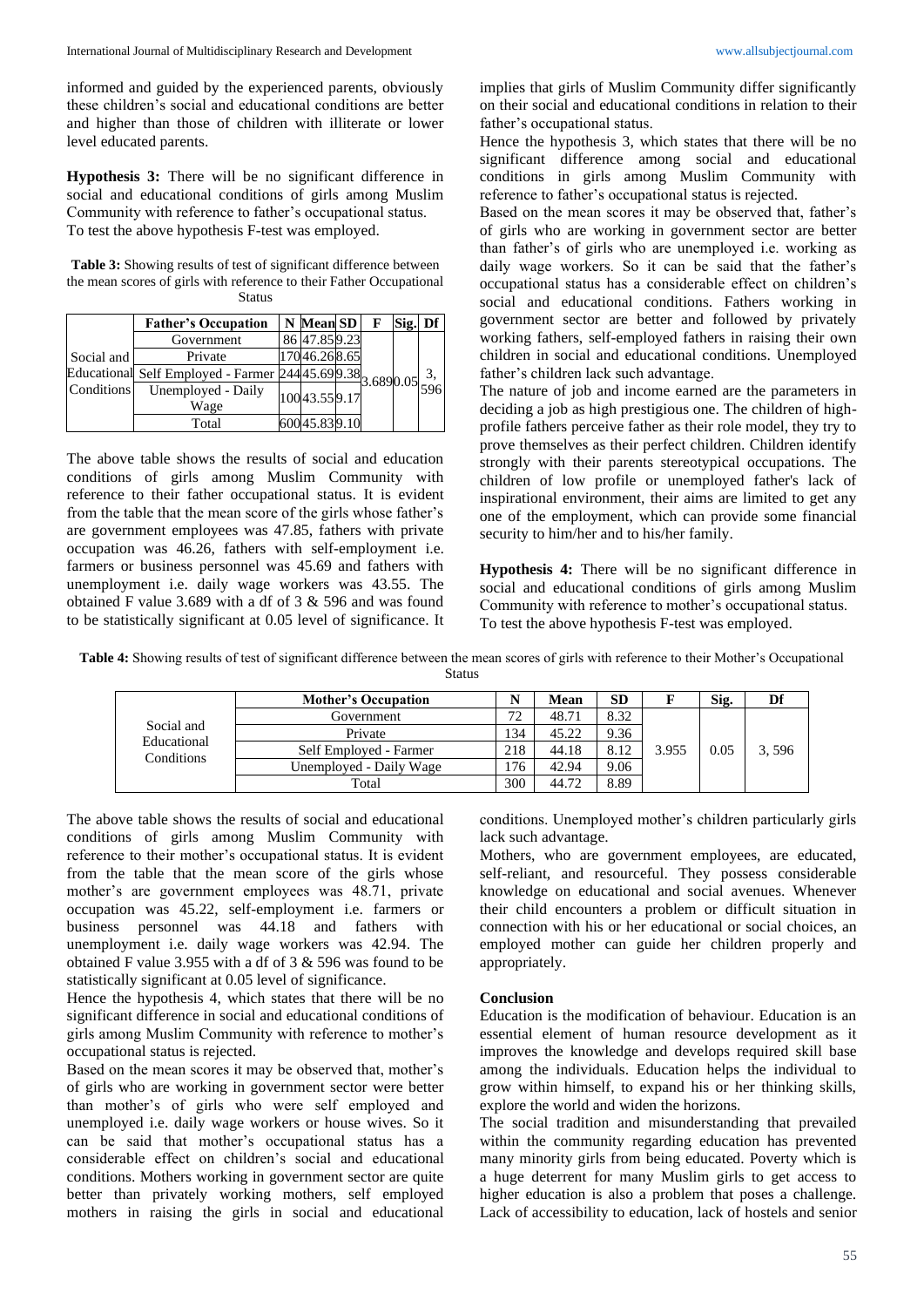informed and guided by the experienced parents, obviously these children's social and educational conditions are better and higher than those of children with illiterate or lower level educated parents.

**Hypothesis 3:** There will be no significant difference in social and educational conditions of girls among Muslim Community with reference to father's occupational status. To test the above hypothesis F-test was employed.

**Table 3:** Showing results of test of significant difference between the mean scores of girls with reference to their Father Occupational Status

|            | <b>Father's Occupation</b>                                                                                          | N Mean SD     |  | F | Sig. Df |  |
|------------|---------------------------------------------------------------------------------------------------------------------|---------------|--|---|---------|--|
| Social and | Government                                                                                                          | 86 47.85 9.23 |  |   |         |  |
|            | Private                                                                                                             | 17046.268.65  |  |   |         |  |
|            | Educational Self Employed - Farmer $24445.699.38$<br>Conditions Unemployed - Daily<br>Conditions Unemployed - Daily |               |  |   |         |  |
|            | Unemployed - Daily<br>Wage                                                                                          | 10043.559.17  |  |   |         |  |
|            | Total                                                                                                               | 60045.839.10  |  |   |         |  |

The above table shows the results of social and education conditions of girls among Muslim Community with reference to their father occupational status. It is evident from the table that the mean score of the girls whose father's are government employees was 47.85, fathers with private occupation was 46.26, fathers with self-employment i.e. farmers or business personnel was 45.69 and fathers with unemployment i.e. daily wage workers was 43.55. The obtained F value 3.689 with a df of 3 & 596 and was found to be statistically significant at 0.05 level of significance. It implies that girls of Muslim Community differ significantly on their social and educational conditions in relation to their father's occupational status.

Hence the hypothesis 3, which states that there will be no significant difference among social and educational conditions in girls among Muslim Community with reference to father's occupational status is rejected.

Based on the mean scores it may be observed that, father's of girls who are working in government sector are better than father's of girls who are unemployed i.e. working as daily wage workers. So it can be said that the father's occupational status has a considerable effect on children's social and educational conditions. Fathers working in government sector are better and followed by privately working fathers, self-employed fathers in raising their own children in social and educational conditions. Unemployed father's children lack such advantage.

The nature of job and income earned are the parameters in deciding a job as high prestigious one. The children of highprofile fathers perceive father as their role model, they try to prove themselves as their perfect children. Children identify strongly with their parents stereotypical occupations. The children of low profile or unemployed father's lack of inspirational environment, their aims are limited to get any one of the employment, which can provide some financial security to him/her and to his/her family.

**Hypothesis 4:** There will be no significant difference in social and educational conditions of girls among Muslim Community with reference to mother's occupational status. To test the above hypothesis F-test was employed.

**Table 4:** Showing results of test of significant difference between the mean scores of girls with reference to their Mother's Occupational **Status** 

| Social and<br>Educational<br>Conditions | <b>Mother's Occupation</b> |     | <b>Mean</b> | <b>SD</b> |       | Sig. | Df    |
|-----------------------------------------|----------------------------|-----|-------------|-----------|-------|------|-------|
|                                         | Government                 | 72  | 48.71       | 8.32      | 3.955 | 0.05 | 3,596 |
|                                         | Private                    | 134 | 45.22       | 9.36      |       |      |       |
|                                         | Self Employed - Farmer     | 218 | 44.18       | 8.12      |       |      |       |
|                                         | Unemployed - Daily Wage    | 176 | 42.94       | 9.06      |       |      |       |
|                                         | Total                      | 300 | 44.72       | 8.89      |       |      |       |

The above table shows the results of social and educational conditions of girls among Muslim Community with reference to their mother's occupational status. It is evident from the table that the mean score of the girls whose mother's are government employees was 48.71, private occupation was 45.22, self-employment i.e. farmers or business personnel was 44.18 and fathers with unemployment i.e. daily wage workers was 42.94. The obtained F value 3.955 with a df of 3 & 596 was found to be statistically significant at 0.05 level of significance.

Hence the hypothesis 4, which states that there will be no significant difference in social and educational conditions of girls among Muslim Community with reference to mother's occupational status is rejected.

Based on the mean scores it may be observed that, mother's of girls who are working in government sector were better than mother's of girls who were self employed and unemployed i.e. daily wage workers or house wives. So it can be said that mother's occupational status has a considerable effect on children's social and educational conditions. Mothers working in government sector are quite better than privately working mothers, self employed mothers in raising the girls in social and educational

conditions. Unemployed mother's children particularly girls lack such advantage.

Mothers, who are government employees, are educated, self-reliant, and resourceful. They possess considerable knowledge on educational and social avenues. Whenever their child encounters a problem or difficult situation in connection with his or her educational or social choices, an employed mother can guide her children properly and appropriately.

#### **Conclusion**

Education is the modification of behaviour. Education is an essential element of human resource development as it improves the knowledge and develops required skill base among the individuals. Education helps the individual to grow within himself, to expand his or her thinking skills, explore the world and widen the horizons.

The social tradition and misunderstanding that prevailed within the community regarding education has prevented many minority girls from being educated. Poverty which is a huge deterrent for many Muslim girls to get access to higher education is also a problem that poses a challenge. Lack of accessibility to education, lack of hostels and senior